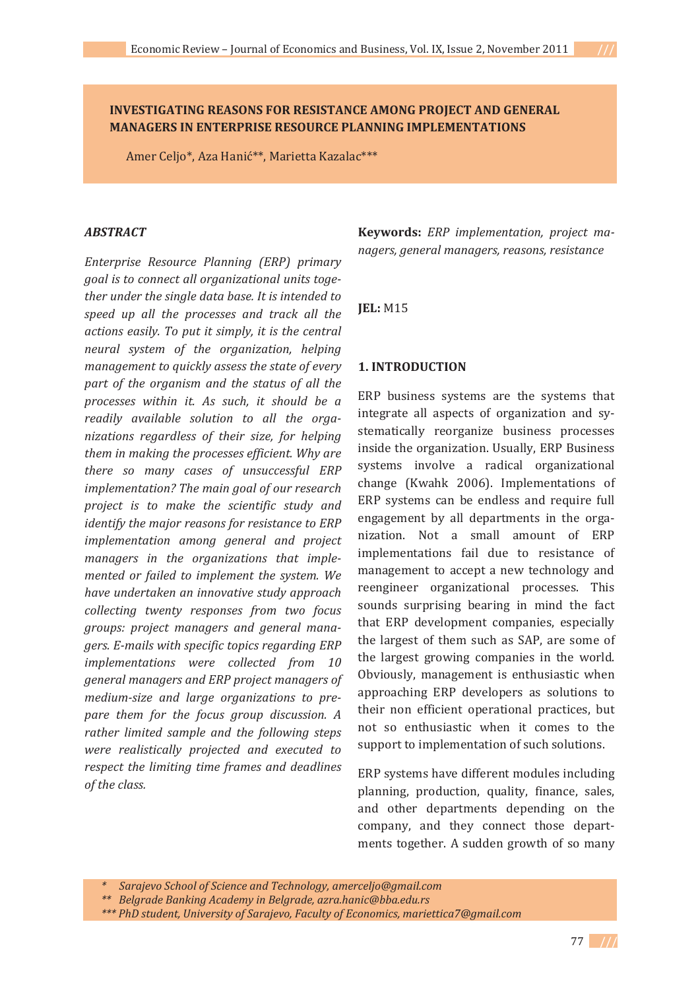# **INVESTIGATING REASONS FOR RESISTANCE AMONG PROJECT AND GENERAL MANAGERS IN ENTERPRISE RESOURCE PLANNING IMPLEMENTATIONS**

Amer Celjo\*, Aza Hanić\*\*, Marietta Kazalac\*\*\*

### *ABSTRACT*

*Enterprise Resource Planning (ERP) primary goal is to connect all organizational units togeǦ ther under the single data base. It is intended to speed up all the processes and track all the actions easily. To put it simply, it is the central neural system of the organization, helping management to quickly assess the state of every part of the organism and the status of all the processes within it. As such, it should be a readily available solution to all the organizations regardless of their size, for helping them in making the processes efficient. Why are there so many cases of unsuccessful ERP implementation? The main goal of our research project is to make the scientific study and identify the major reasons for resistance to ERP implementation among general and project managers in the organizations that implemented or failed to implement the system. We have undertaken an innovative study approach collecting twenty responses from two focus groups: project managers and general manaǦ gers. EǦmails with specific topics regarding ERP implementations were collected from 10 general managers and ERP project managers of medium-size and large organizations to prepare them for the focus group discussion. A rather limited sample and the following steps were realistically projected and executed to respect the limiting time frames and deadlines of the class.*

**Keywords:** *ERP implementation, project maǦ nagers, general managers, reasons, resistance*

# **JEL:** M15

## **1. INTRODUCTION**

ERP business systems are the systems that integrate all aspects of organization and systematically reorganize business processes inside the organization. Usually, ERP Business systems involve a radical organizational change (Kwahk 2006). Implementations of ERP systems can be endless and require full engagement by all departments in the organization. Not a small amount of ERP implementations fail due to resistance of management to accept a new technology and reengineer organizational processes. This sounds surprising bearing in mind the fact that ERP development companies, especially the largest of them such as SAP, are some of the largest growing companies in the world. Obviously, management is enthusiastic when approaching ERP developers as solutions to their non efficient operational practices, but not so enthusiastic when it comes to the support to implementation of such solutions.

ERP systems have different modules including planning, production, quality, finance, sales, and other departments depending on the company, and they connect those departments together. A sudden growth of so many

*<sup>\*</sup>Sarajevo School of Science and Technology, amerceljo@gmail.com*

*<sup>\*\*</sup>Belgrade Banking Academy in Belgrade, azra.hanic@bba.edu.rs*

*<sup>\*\*\*</sup> PhD student, University of Sarajevo, Faculty of Economics, mariettica7@gmail.com*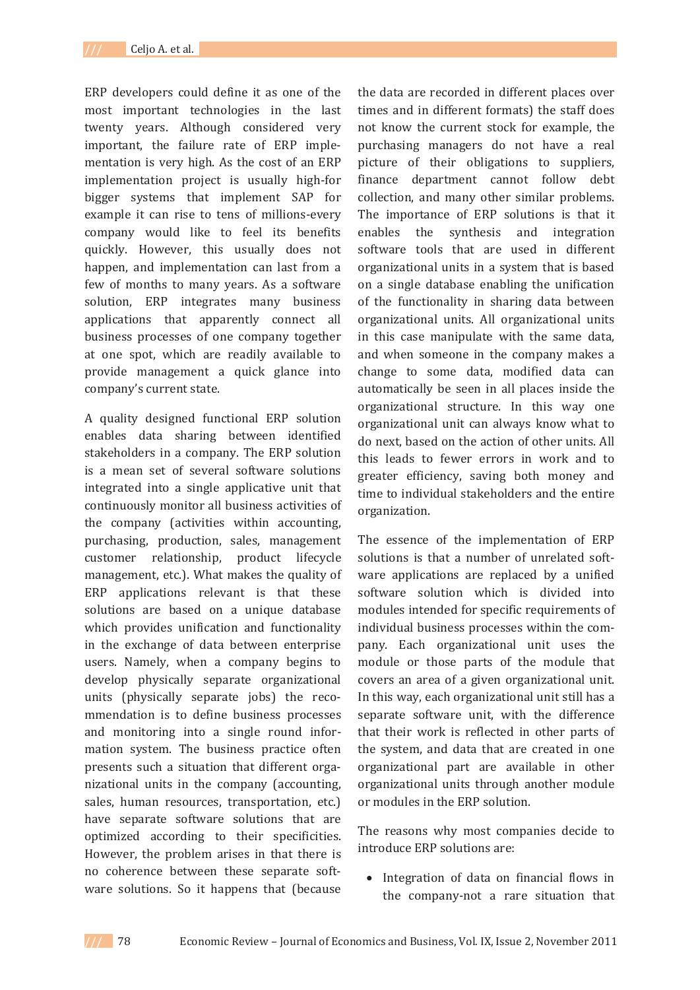ERP developers could define it as one of the most important technologies in the last twenty years. Although considered very important, the failure rate of ERP implementation is very high. As the cost of an ERP implementation project is usually high-for bigger systems that implement SAP for example it can rise to tens of millions-every company would like to feel its benefits quickly. However, this usually does not happen, and implementation can last from a few of months to many years. As a software solution, ERP integrates many business applications that apparently connect all business processes of one company together at one spot, which are readily available to provide management a quick glance into company's current state.

A quality designed functional ERP solution enables data sharing between identified stakeholders in a company. The ERP solution is a mean set of several software solutions integrated into a single applicative unit that continuously monitor all business activities of the company (activities within accounting, purchasing, production, sales, management customer relationship, product lifecycle management, etc.). What makes the quality of ERP applications relevant is that these solutions are based on a unique database which provides unification and functionality in the exchange of data between enterprise users. Namely, when a company begins to develop physically separate organizational units (physically separate jobs) the recommendation is to define business processes and monitoring into a single round information system. The business practice often presents such a situation that different organizational units in the company (accounting, sales, human resources, transportation, etc.) have separate software solutions that are optimized according to their specificities. However, the problem arises in that there is no coherence between these separate software solutions. So it happens that (because

the data are recorded in different places over times and in different formats) the staff does not know the current stock for example, the purchasing managers do not have a real picture of their obligations to suppliers, finance department cannot follow debt collection, and many other similar problems. The importance of ERP solutions is that it enables the synthesis and integration software tools that are used in different organizational units in a system that is based on a single database enabling the unification of the functionality in sharing data between organizational units. All organizational units in this case manipulate with the same data, and when someone in the company makes a change to some data, modified data can automatically be seen in all places inside the organizational structure. In this way one organizational unit can always know what to do next, based on the action of other units. All this leads to fewer errors in work and to greater efficiency, saving both money and time to individual stakeholders and the entire organization.

The essence of the implementation of ERP solutions is that a number of unrelated software applications are replaced by a unified software solution which is divided into modules intended for specific requirements of individual business processes within the company. Each organizational unit uses the module or those parts of the module that covers an area of a given organizational unit. In this way, each organizational unit still has a separate software unit, with the difference that their work is reflected in other parts of the system, and data that are created in one organizational part are available in other organizational units through another module or modules in the ERP solution.

The reasons why most companies decide to introduce ERP solutions are:

• Integration of data on financial flows in the company-not a rare situation that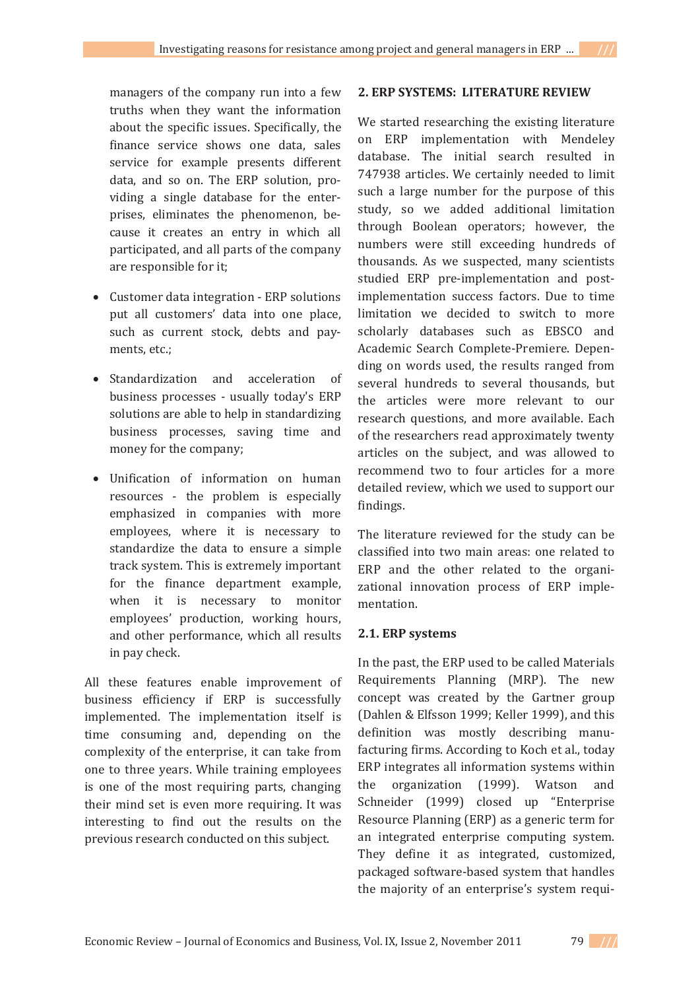managers of the company run into a few truths when they want the information about the specific issues. Specifically, the finance service shows one data, sales service for example presents different data, and so on. The ERP solution, providing a single database for the enterprises, eliminates the phenomenon, because it creates an entry in which all participated, and all parts of the company are responsible for it:

- Customer data integration ERP solutions put all customers' data into one place, such as current stock, debts and payments, etc.;
- Standardization and acceleration of business processes - usually today's ERP solutions are able to help in standardizing business processes, saving time and money for the company:
- Unification of information on human resources - the problem is especially emphasized in companies with more employees, where it is necessary to standardize the data to ensure a simple track system. This is extremely important for the finance department example, when it is necessary to monitor employees' production, working hours, and other performance, which all results in pay check.

All these features enable improvement of business efficiency if ERP is successfully implemented. The implementation itself is time consuming and, depending on the complexity of the enterprise, it can take from one to three years. While training employees is one of the most requiring parts, changing their mind set is even more requiring. It was interesting to find out the results on the previous research conducted on this subject.

## **2. ERP SYSTEMS:LITERATURE REVIEW**

We started researching the existing literature on ERP implementation with Mendeley database. The initial search resulted in 747938 articles. We certainly needed to limit such a large number for the purpose of this study, so we added additional limitation through Boolean operators; however, the numbers were still exceeding hundreds of thousands. As we suspected, many scientists studied ERP pre-implementation and postimplementation success factors. Due to time limitation we decided to switch to more scholarly databases such as EBSCO and Academic Search Complete-Premiere. Depending on words used, the results ranged from several hundreds to several thousands, but the articles were more relevant to our research questions, and more available. Each of the researchers read approximately twenty articles on the subject, and was allowed to recommend two to four articles for a more detailed review, which we used to support our findings.

The literature reviewed for the study can be classified into two main areas: one related to ERP and the other related to the organizational innovation process of ERP implementation.

# **2.1. ERP systems**

In the past, the ERP used to be called Materials Requirements Planning (MRP). The new concept was created by the Gartner group (Dahlen & Elfsson 1999; Keller 1999), and this definition was mostly describing manufacturing firms. According to Koch et al., today ERP integrates all information systems within the organization (1999). Watson and Schneider (1999) closed up "Enterprise Resource Planning (ERP) as a generic term for an integrated enterprise computing system. They define it as integrated, customized, packaged software-based system that handles the majority of an enterprise's system requi-

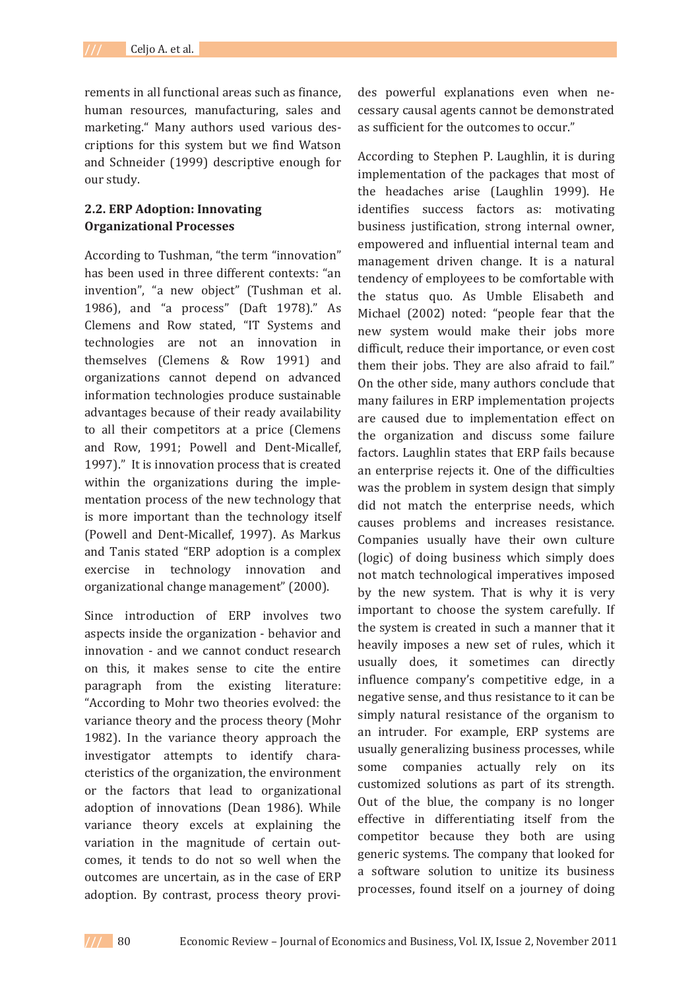rements in all functional areas such as finance. human resources, manufacturing, sales and marketing." Many authors used various descriptions for this system but we find Watson and Schneider (1999) descriptive enough for our study.

# **2.2. ERP Adoption: Innovating Organizational Processes**

According to Tushman, "the term "innovation" has been used in three different contexts: "an invention", "a new object" (Tushman et al. 1986), and "a process" (Daft 1978)." As Clemens and Row stated, "IT Systems and technologies are not an innovation in themselves (Clemens & Row 1991) and organizations cannot depend on advanced information technologies produce sustainable advantages because of their ready availability to all their competitors at a price (Clemens and Row, 1991; Powell and Dent-Micallef, 1997)." It is innovation process that is created within the organizations during the implementation process of the new technology that is more important than the technology itself (Powell and Dent-Micallef, 1997). As Markus and Tanis stated "ERP adoption is a complex exercise in technology innovation and organizational change management" (2000).

Since introduction of ERP involves two aspects inside the organization - behavior and innovation - and we cannot conduct research on this, it makes sense to cite the entire paragraph from the existing literature: "According to Mohr two theories evolved: the variance theory and the process theory (Mohr 1982). In the variance theory approach the investigator attempts to identify characteristics of the organization, the environment or the factors that lead to organizational adoption of innovations (Dean 1986). While variance theory excels at explaining the variation in the magnitude of certain outcomes, it tends to do not so well when the outcomes are uncertain, as in the case of ERP adoption. By contrast, process theory provides powerful explanations even when necessary causal agents cannot be demonstrated as sufficient for the outcomes to occur."

According to Stephen P. Laughlin, it is during implementation of the packages that most of the headaches arise (Laughlin 1999). He identifies success factors as: motivating business justification, strong internal owner, empowered and influential internal team and management driven change. It is a natural tendency of employees to be comfortable with the status quo. As Umble Elisabeth and Michael (2002) noted: "people fear that the new system would make their jobs more difficult, reduce their importance, or even cost them their jobs. They are also afraid to fail." On the other side, many authors conclude that many failures in ERP implementation projects are caused due to implementation effect on the organization and discuss some failure factors. Laughlin states that ERP fails because an enterprise rejects it. One of the difficulties was the problem in system design that simply did not match the enterprise needs, which causes problems and increases resistance. Companies usually have their own culture (logic) of doing business which simply does not match technological imperatives imposed by the new system. That is why it is very important to choose the system carefully. If the system is created in such a manner that it heavily imposes a new set of rules, which it usually does, it sometimes can directly influence company's competitive edge, in a negative sense, and thus resistance to it can be simply natural resistance of the organism to an intruder. For example, ERP systems are usually generalizing business processes, while some companies actually rely on its customized solutions as part of its strength. Out of the blue, the company is no longer effective in differentiating itself from the competitor because they both are using generic systems. The company that looked for a software solution to unitize its business processes, found itself on a journey of doing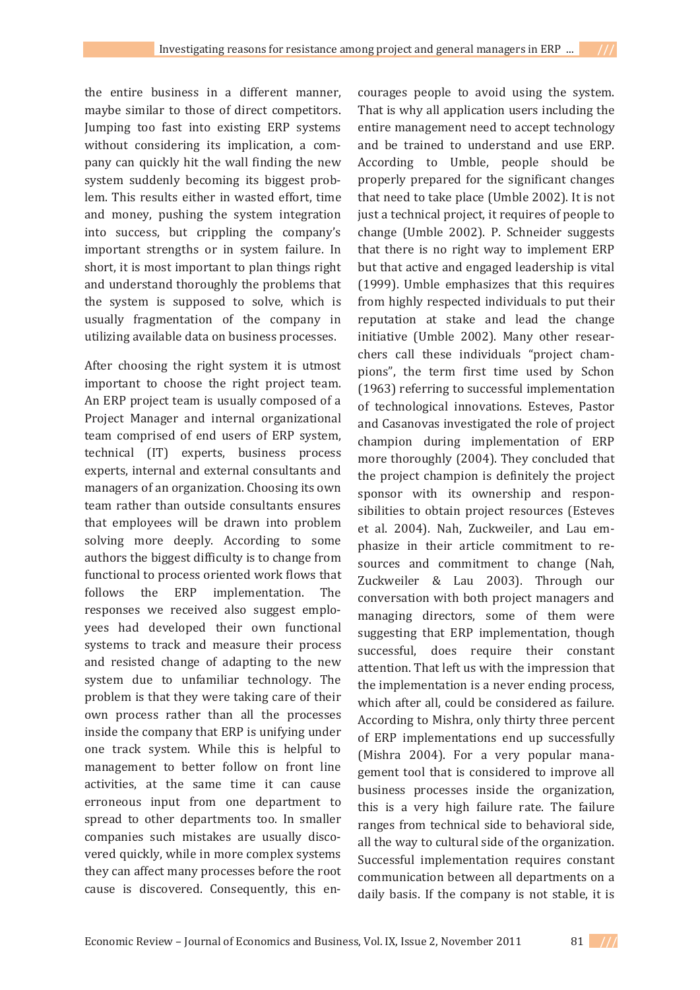the entire business in a different manner, maybe similar to those of direct competitors. Jumping too fast into existing ERP systems without considering its implication, a company can quickly hit the wall finding the new system suddenly becoming its biggest problem. This results either in wasted effort, time and money, pushing the system integration into success, but crippling the company's important strengths or in system failure. In short, it is most important to plan things right and understand thoroughly the problems that the system is supposed to solve, which is usually fragmentation of the company in utilizing available data on business processes.

After choosing the right system it is utmost important to choose the right project team. An ERP project team is usually composed of a Project Manager and internal organizational team comprised of end users of ERP system, technical (IT) experts, business process experts, internal and external consultants and managers of an organization. Choosing its own team rather than outside consultants ensures that employees will be drawn into problem solving more deeply. According to some authors the biggest difficulty is to change from functional to process oriented work flows that follows the ERP implementation. The responses we received also suggest employees had developed their own functional systems to track and measure their process and resisted change of adapting to the new system due to unfamiliar technology. The problem is that they were taking care of their own process rather than all the processes inside the company that ERP is unifying under one track system. While this is helpful to management to better follow on front line activities, at the same time it can cause erroneous input from one department to spread to other departments too. In smaller companies such mistakes are usually discovered quickly, while in more complex systems they can affect many processes before the root cause is discovered. Consequently, this en-

courages people to avoid using the system. That is why all application users including the entire management need to accept technology and be trained to understand and use ERP. According to Umble, people should be properly prepared for the significant changes that need to take place (Umble 2002). It is not just a technical project, it requires of people to change (Umble 2002). P. Schneider suggests that there is no right way to implement ERP but that active and engaged leadership is vital (1999). Umble emphasizes that this requires from highly respected individuals to put their reputation at stake and lead the change initiative (Umble 2002). Many other researchers call these individuals "project champions", the term first time used by Schon (1963) referring to successful implementation of technological innovations. Esteves, Pastor and Casanovas investigated the role of project champion during implementation of ERP more thoroughly (2004). They concluded that the project champion is definitely the project sponsor with its ownership and responsibilities to obtain project resources (Esteves et al. 2004). Nah, Zuckweiler, and Lau emphasize in their article commitment to resources and commitment to change (Nah, Zuckweiler & Lau 2003). Through our conversation with both project managers and managing directors, some of them were suggesting that ERP implementation, though successful, does require their constant attention. That left us with the impression that the implementation is a never ending process, which after all, could be considered as failure. According to Mishra, only thirty three percent of ERP implementations end up successfully (Mishra 2004). For a very popular management tool that is considered to improve all business processes inside the organization, this is a very high failure rate. The failure ranges from technical side to behavioral side, all the way to cultural side of the organization. Successful implementation requires constant communication between all departments on a daily basis. If the company is not stable, it is

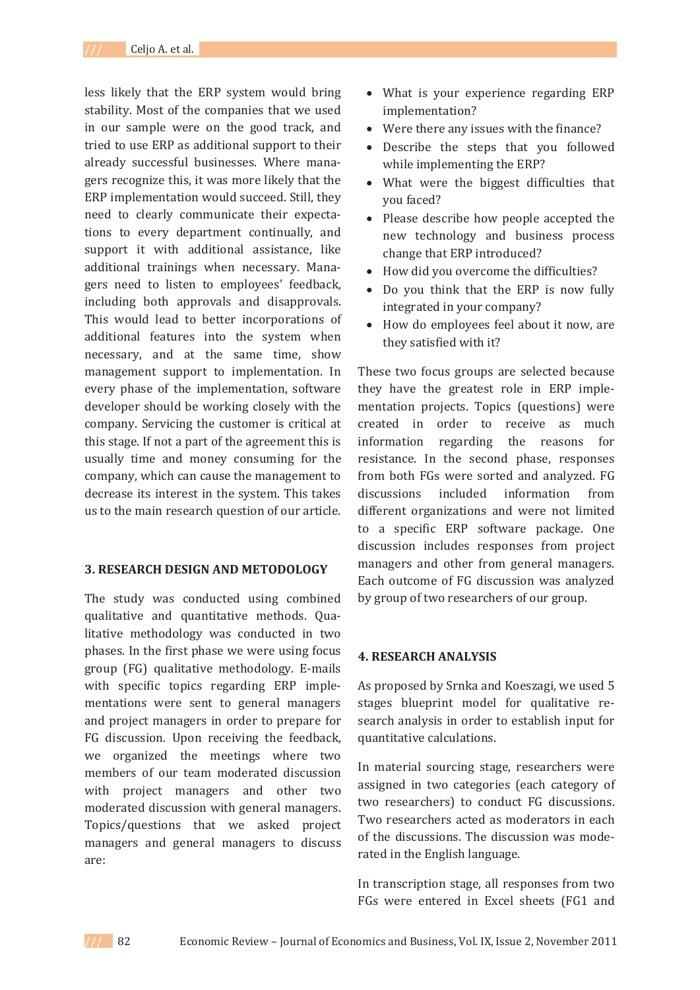less likely that the ERP system would bring stability. Most of the companies that we used in our sample were on the good track, and tried to use ERP as additional support to their already successful businesses. Where managers recognize this, it was more likely that the ERP implementation would succeed. Still, they need to clearly communicate their expectations to every department continually, and support it with additional assistance, like additional trainings when necessary. Managers need to listen to employees' feedback, including both approvals and disapprovals. This would lead to better incorporations of additional features into the system when necessary, and at the same time, show management support to implementation. In every phase of the implementation, software developer should be working closely with the company. Servicing the customer is critical at this stage. If not a part of the agreement this is usually time and money consuming for the company, which can cause the management to decrease its interest in the system. This takes us to the main research question of our article.

#### **3. RESEARCH DESIGN AND METODOLOGY**

The study was conducted using combined qualitative and quantitative methods. Qualitative methodology was conducted in two phases. In the first phase we were using focus group (FG) qualitative methodology. E-mails with specific topics regarding ERP implementations were sent to general managers and project managers in order to prepare for FG discussion. Upon receiving the feedback, we organized the meetings where two members of our team moderated discussion with project managers and other two moderated discussion with general managers. Topics/questions that we asked project managers and general managers to discuss are:

- What is your experience regarding ERP implementation?
- Were there any issues with the finance?
- Describe the steps that you followed while implementing the ERP?
- What were the biggest difficulties that vou faced?
- Please describe how people accepted the new technology and business process change that ERP introduced?
- How did you overcome the difficulties?
- Do you think that the ERP is now fully integrated in your company?
- How do employees feel about it now, are they satisfied with it?

These two focus groups are selected because they have the greatest role in ERP implementation projects. Topics (questions) were created in order to receive as much information regarding the reasons for resistance. In the second phase, responses from both FGs were sorted and analyzed. FG discussions included information from different organizations and were not limited to a specific ERP software package. One discussion includes responses from project managers and other from general managers. Each outcome of FG discussion was analyzed by group of two researchers of our group.

### **4. RESEARCH ANALYSIS**

As proposed by Srnka and Koeszagi, we used 5 stages blueprint model for qualitative research analysis in order to establish input for quantitative calculations.

In material sourcing stage, researchers were assigned in two categories (each category of two researchers) to conduct FG discussions. Two researchers acted as moderators in each of the discussions. The discussion was moderated in the English language.

In transcription stage, all responses from two FGs were entered in Excel sheets (FG1 and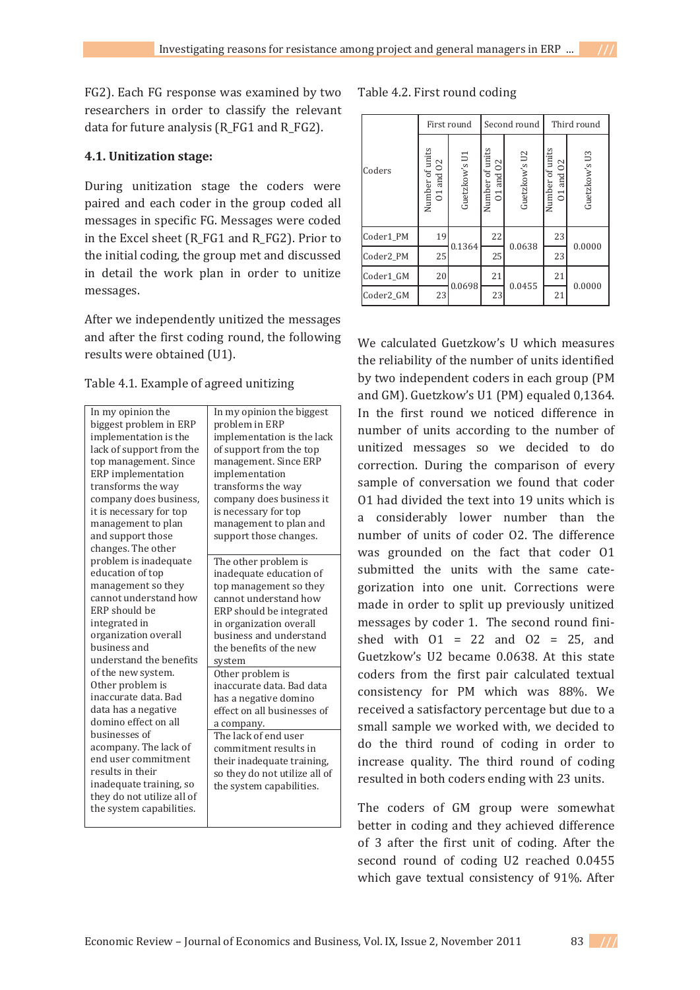FG2). Each FG response was examined by two researchers in order to classify the relevant data for future analysis (R\_FG1 and R\_FG2).

# **4.1. Unitization stage:**

During unitization stage the coders were paired and each coder in the group coded all messages in specific FG. Messages were coded in the Excel sheet (R\_FG1 and R\_FG2). Prior to the initial coding, the group met and discussed in detail the work plan in order to unitize messages.

After we independently unitized the messages and after the first coding round, the following results were obtained (U1).

|  |  | Table 4.1. Example of agreed unitizing |  |
|--|--|----------------------------------------|--|
|--|--|----------------------------------------|--|

| In my opinion the          | In my opinion the biggest     |
|----------------------------|-------------------------------|
| biggest problem in ERP     | problem in ERP                |
| implementation is the      | implementation is the lack    |
| lack of support from the   | of support from the top       |
| top management. Since      | management. Since ERP         |
| <b>ERP</b> implementation  | implementation                |
| transforms the way         | transforms the way            |
| company does business,     | company does business it      |
| it is necessary for top    | is necessary for top          |
| management to plan         | management to plan and        |
| and support those          | support those changes.        |
| changes. The other         |                               |
| problem is inadequate      | The other problem is          |
| education of top           | inadequate education of       |
| management so they         | top management so they        |
| cannot understand how      | cannot understand how         |
| ERP should be              | ERP should be integrated      |
| integrated in              | in organization overall       |
| organization overall       | business and understand       |
| husiness and               | the benefits of the new       |
| understand the benefits    | system                        |
| of the new system.         | Other problem is              |
| Other problem is           | inaccurate data. Bad data     |
| inaccurate data. Bad       | has a negative domino         |
| data has a negative        | effect on all businesses of   |
| domino effect on all       | a company.                    |
| businesses of              | The lack of end user          |
| acompany. The lack of      | commitment results in         |
| end user commitment        | their inadequate training,    |
| results in their           | so they do not utilize all of |
| inadequate training, so    | the system capabilities.      |
| they do not utilize all of |                               |
| the system capabilities.   |                               |
|                            |                               |

Table 4.2. First round coding

|           | First round                      |               |                              | Second round  | Third round                  |               |  |
|-----------|----------------------------------|---------------|------------------------------|---------------|------------------------------|---------------|--|
| Coders    | Number of units<br>$01$ and $02$ | Guetzkow's U1 | Number of units<br>01 and 02 | Guetzkow's U2 | Number of units<br>01 and 02 | Guetzkow's U3 |  |
| Coder1 PM | 19                               |               | 22                           |               | 23                           |               |  |
| Coder2 PM | 25                               | 0.1364        | 25                           | 0.0638        | 23                           | 0.0000        |  |
| Coder1 GM | 20                               |               | 21                           | 0.0455        | 21                           |               |  |
| Coder2 GM | 23                               | 0.0698        | 23                           |               | 21                           | 0.0000        |  |

We calculated Guetzkow's U which measures the reliability of the number of units identified by two independent coders in each group (PM and GM). Guetzkow's U1 (PM) equaled 0,1364. In the first round we noticed difference in number of units according to the number of unitized messages so we decided to do correction. During the comparison of every sample of conversation we found that coder 01 had divided the text into 19 units which is a considerably lower number than the number of units of coder 02. The difference was grounded on the fact that coder 01 submitted the units with the same categorization into one unit. Corrections were made in order to split up previously unitized messages by coder 1. The second round finished with  $01 = 22$  and  $02 = 25$ , and Guetzkow's U2 became 0.0638. At this state coders from the first pair calculated textual consistency for PM which was 88%. We received a satisfactory percentage but due to a small sample we worked with, we decided to do the third round of coding in order to increase quality. The third round of coding resulted in both coders ending with 23 units.

The coders of GM group were somewhat better in coding and they achieved difference of 3 after the first unit of coding. After the second round of coding U2 reached 0.0455 which gave textual consistency of 91%. After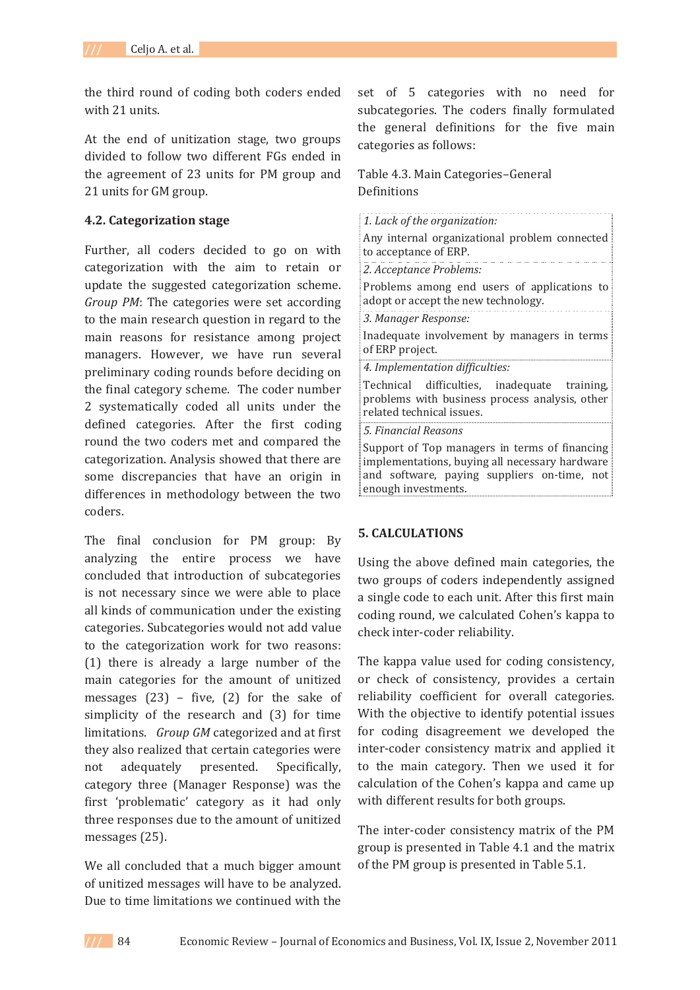the third round of coding both coders ended with 21 units.

At the end of unitization stage, two groups divided to follow two different FGs ended in the agreement of 23 units for PM group and 21 units for GM group.

## **4.2. Categorization stage**

Further, all coders decided to go on with categorization with the aim to retain or update the suggested categorization scheme. *Group PM*: The categories were set according to the main research question in regard to the main reasons for resistance among project managers. However, we have run several preliminary coding rounds before deciding on the final category scheme. The coder number 2 systematically coded all units under the defined categories. After the first coding round the two coders met and compared the categorization. Analysis showed that there are some discrepancies that have an origin in differences in methodology between the two coders.

The final conclusion for PM group: By analyzing the entire process we have concluded that introduction of subcategories is not necessary since we were able to place all kinds of communication under the existing categories. Subcategories would not add value to the categorization work for two reasons: (1) there is already a large number of the main categories for the amount of unitized messages  $(23)$  – five,  $(2)$  for the sake of simplicity of the research and (3) for time limitations. *Group GM* categorized and at first they also realized that certain categories were not adequately presented. Specifically, category three (Manager Response) was the first 'problematic' category as it had only three responses due to the amount of unitized messages (25).

We all concluded that a much bigger amount of unitized messages will have to be analyzed. Due to time limitations we continued with the

set of 5 categories with no need for subcategories. The coders finally formulated the general definitions for the five main categories as follows:

# Table 4.3. Main Categories-General Definitions

*1. Lack of the organization:* Any internal organizational problem connected to acceptance of ERP. *2. Acceptance Problems:* Problems among end users of applications to adopt or accept the new technology. *3. Manager Response:* Inadequate involvement by managers in terms of ERP project. *4. Implementation difficulties:* Technical difficulties, inadequate training, problems with business process analysis, other related technical issues. *5. Financial Reasons* Support of Top managers in terms of financing implementations, buying all necessary hardware and software, paying suppliers on-time, not enough investments.

# **5. CALCULATIONS**

Using the above defined main categories, the two groups of coders independently assigned a single code to each unit. After this first main coding round, we calculated Cohen's kappa to check inter-coder reliability.

The kappa value used for coding consistency, or check of consistency, provides a certain reliability coefficient for overall categories. With the objective to identify potential issues for coding disagreement we developed the inter-coder consistency matrix and applied it to the main category. Then we used it for calculation of the Cohen's kappa and came up with different results for both groups.

The inter-coder consistency matrix of the PM group is presented in Table 4.1 and the matrix of the PM group is presented in Table 5.1.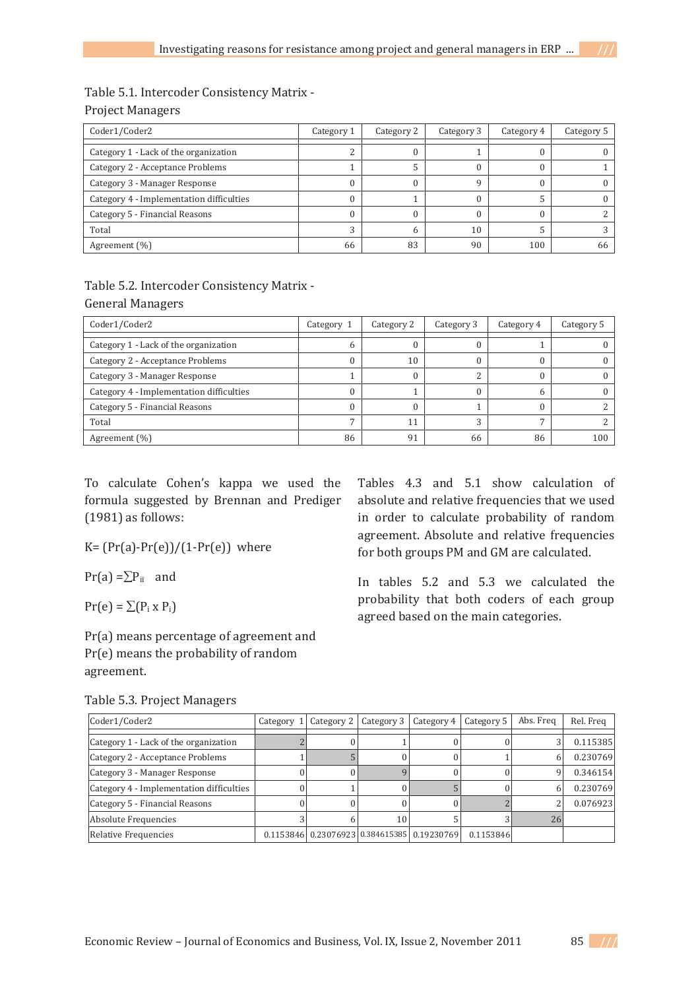## Table 5.1. Intercoder Consistency Matrix -

|  | <b>Project Managers</b> |
|--|-------------------------|
|--|-------------------------|

| Coder1/Coder2                            | Category 1 | Category 2 | Category 3 | Category 4 | Category 5 |
|------------------------------------------|------------|------------|------------|------------|------------|
| Category 1 - Lack of the organization    |            |            |            |            |            |
| Category 2 - Acceptance Problems         |            |            |            |            |            |
| Category 3 - Manager Response            |            |            |            |            |            |
| Category 4 - Implementation difficulties |            |            |            |            |            |
| Category 5 - Financial Reasons           |            |            |            |            |            |
| Total                                    |            |            | 10         |            |            |
| Agreement (%)                            | 66         | 83         | 90         | 100        | 66         |

# Table 5.2. Intercoder Consistency Matrix -**General Managers**

| Coder1/Coder2                            | Category 1 | Category 2 | Category 3 | Category 4 | Category 5 |
|------------------------------------------|------------|------------|------------|------------|------------|
| Category 1 - Lack of the organization    | n          |            |            |            |            |
| Category 2 - Acceptance Problems         |            | 10         |            |            |            |
| Category 3 - Manager Response            |            |            |            |            |            |
| Category 4 - Implementation difficulties |            |            |            |            |            |
| Category 5 - Financial Reasons           |            |            |            |            |            |
| Total                                    |            | 11         |            |            |            |
| Agreement (%)                            | 86         | 91         | 66         | 86         | 100        |

To calculate Cohen's kappa we used the formula suggested by Brennan and Prediger  $(1981)$  as follows:

 $K = (Pr(a)-Pr(e))/(1-Pr(e))$  where

 $Pr(a) = \sum P_{ii}$  and

 $Pr(e) = \sum (P_i \times P_i)$ 

Pr(a) means percentage of agreement and Pr(e) means the probability of random agreement.

Tables 4.3 and 5.1 show calculation of absolute and relative frequencies that we used in order to calculate probability of random agreement. Absolute and relative frequencies for both groups PM and GM are calculated.

In tables 5.2 and 5.3 we calculated the probability that both coders of each group agreed based on the main categories.

| Table 5.3. Project Managers |  |
|-----------------------------|--|
|                             |  |

| Coder1/Coder2                            | Category | Category 2 | Category 3                                  | Category 4 | Category 5 | Abs. Freq | Rel. Freq |
|------------------------------------------|----------|------------|---------------------------------------------|------------|------------|-----------|-----------|
| Category 1 - Lack of the organization    |          |            |                                             |            |            |           | 0.115385  |
| Category 2 - Acceptance Problems         |          |            |                                             |            |            |           | 0.230769  |
| Category 3 - Manager Response            |          |            |                                             |            |            | a         | 0.346154  |
| Category 4 - Implementation difficulties |          |            |                                             |            |            |           | 0.230769  |
| Category 5 - Financial Reasons           |          |            |                                             |            |            |           | 0.076923  |
| Absolute Frequencies                     |          |            | 10                                          |            |            | 26        |           |
| Relative Frequencies                     |          |            | 0.1153846 0.23076923 0.384615385 0.19230769 |            | 0.1153846  |           |           |

**Economic Review – Journal of Economics and Business, Vol. IX, Issue 2, November 2011** 85 ///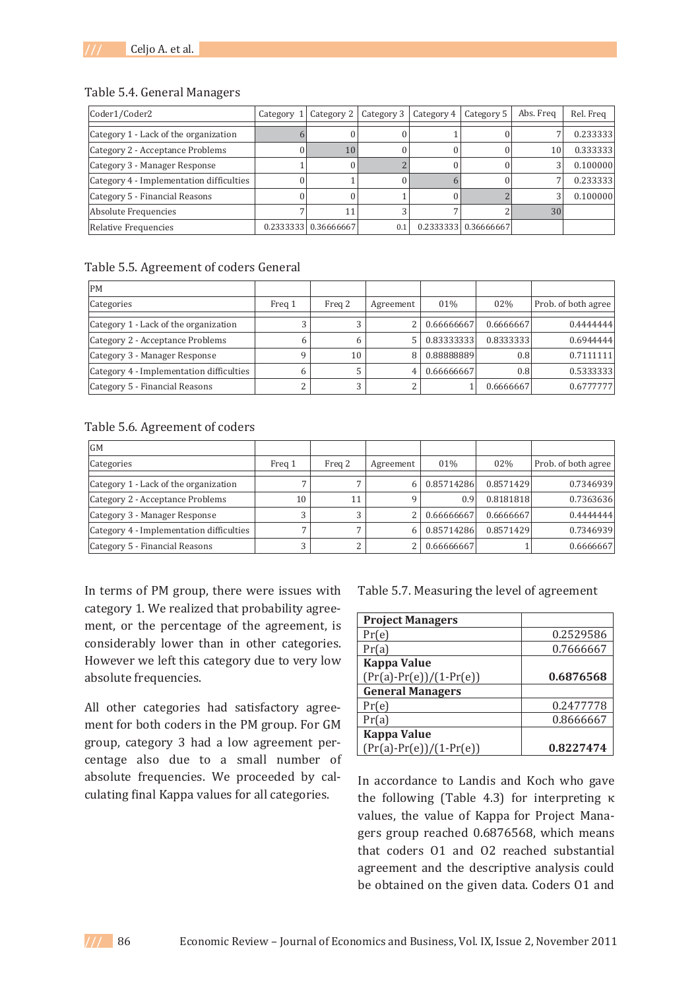#### Table 5.4. General Managers

| Coder1/Coder2                            | Category 1 Category 2 | Category 3 | Category 4 | Category 5            | Abs. Freq | Rel. Freg |
|------------------------------------------|-----------------------|------------|------------|-----------------------|-----------|-----------|
| Category 1 - Lack of the organization    |                       |            |            |                       |           | 0.233333  |
| Category 2 - Acceptance Problems         | 10                    |            |            |                       | 10        | 0.333333  |
| Category 3 - Manager Response            |                       |            |            |                       | 3         | 0.100000  |
| Category 4 - Implementation difficulties |                       |            |            |                       |           | 0.233333  |
| Category 5 - Financial Reasons           |                       |            |            |                       |           | 0.100000  |
| Absolute Frequencies                     |                       |            |            |                       | 30        |           |
| Relative Frequencies                     | 0.2333333 0.36666667  | 0.1        |            | 0.23333331 0.36666667 |           |           |

### Table 5.5. Agreement of coders General

| <b>PM</b>                                |        |        |           |            |           |                     |
|------------------------------------------|--------|--------|-----------|------------|-----------|---------------------|
| Categories                               | Freg 1 | Freg 2 | Agreement | 01%        | 02%       | Prob. of both agree |
|                                          |        |        |           |            |           |                     |
| Category 1 - Lack of the organization    |        |        |           | 0.66666667 | 0.6666667 | 0.4444444           |
| Category 2 - Acceptance Problems         |        |        |           | 0.83333333 | 0.8333333 | 0.6944444           |
| Category 3 - Manager Response            |        | 10     | 8         | 0.88888889 | 0.8       | 0.7111111           |
| Category 4 - Implementation difficulties |        |        | 4         | 0.66666667 | 0.8       | 0.5333333           |
| Category 5 - Financial Reasons           |        | ∍      |           |            | 0.6666667 | 0.6777777           |

### Table 5.6. Agreement of coders

| <b>GM</b>                                |        |        |           |            |           |                     |
|------------------------------------------|--------|--------|-----------|------------|-----------|---------------------|
| Categories                               | Freg 1 | Freq 2 | Agreement | 01%        | 02%       | Prob. of both agree |
| Category 1 - Lack of the organization    |        |        | 6         | 0.85714286 | 0.8571429 | 0.7346939           |
| Category 2 - Acceptance Problems         | 10     | 11     | 9         | 0.9        | 0.8181818 | 0.7363636           |
| Category 3 - Manager Response            |        |        | າ         | 0.66666667 | 0.6666667 | 0.4444444           |
| Category 4 - Implementation difficulties |        |        | 6         | 0.85714286 | 0.8571429 | 0.7346939           |
| Category 5 - Financial Reasons           |        |        | ∍         | 0.66666667 |           | 0.6666667           |

In terms of PM group, there were issues with category 1. We realized that probability agreement, or the percentage of the agreement, is considerably lower than in other categories. However we left this category due to very low absolute frequencies.

All other categories had satisfactory agreement for both coders in the PM group. For GM group, category 3 had a low agreement percentage also due to a small number of absolute frequencies. We proceeded by calculating final Kappa values for all categories.

Table 5.7. Measuring the level of agreement

| <b>Project Managers</b>   |           |
|---------------------------|-----------|
| Pr(e)                     | 0.2529586 |
| Pr(a)                     | 0.7666667 |
| <b>Kappa Value</b>        |           |
| $(Pr(a)-Pr(e))/(1-Pr(e))$ | 0.6876568 |
| <b>General Managers</b>   |           |
| Pr(e)                     | 0.2477778 |
| Pr(a)                     | 0.8666667 |
| <b>Kappa Value</b>        |           |
| $(Pr(a)-Pr(e))/(1-Pr(e))$ | 0.8227474 |

In accordance to Landis and Koch who gave the following (Table 4.3) for interpreting  $\kappa$ values, the value of Kappa for Project Managers group reached 0.6876568, which means that coders 01 and 02 reached substantial agreement and the descriptive analysis could be obtained on the given data. Coders 01 and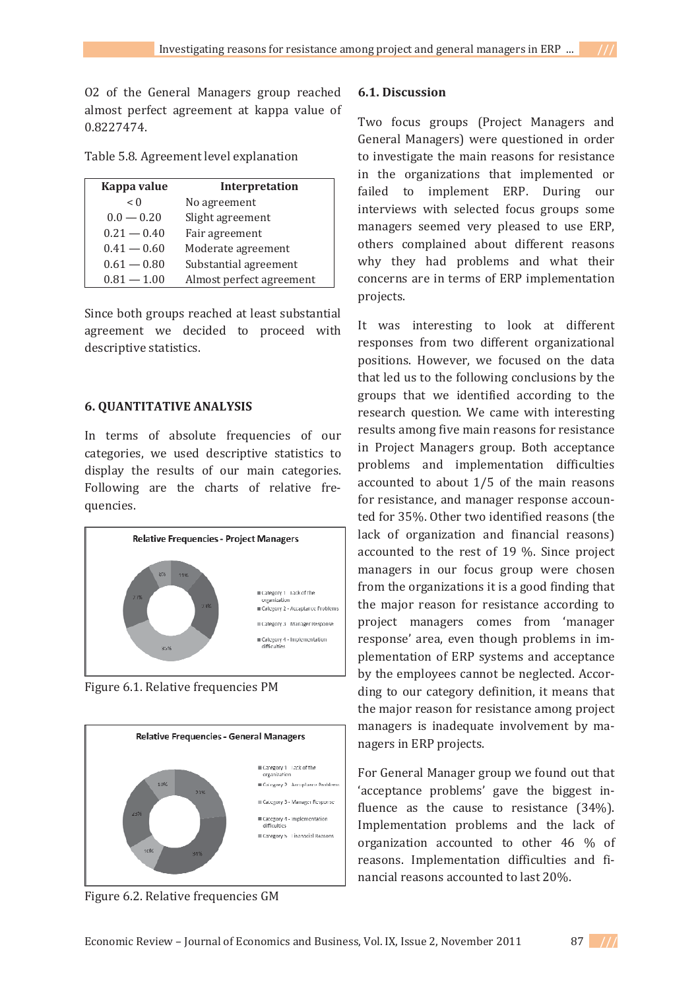02 of the General Managers group reached almost perfect agreement at kappa value of  $0.8227474.$ 

| Table 5.8. Agreement level explanation |  |
|----------------------------------------|--|
|----------------------------------------|--|

| Kappa value   | Interpretation           |
|---------------|--------------------------|
| < 0           | No agreement             |
| $0.0 - 0.20$  | Slight agreement         |
| $0.21 - 0.40$ | Fair agreement           |
| $0.41 - 0.60$ | Moderate agreement       |
| $0.61 - 0.80$ | Substantial agreement    |
| $0.81 - 1.00$ | Almost perfect agreement |

Since both groups reached at least substantial agreement we decided to proceed with descriptive statistics.

### **6. QUANTITATIVE ANALYSIS**

In terms of absolute frequencies of our categories, we used descriptive statistics to display the results of our main categories. Following are the charts of relative frequencies.



Figure 6.1. Relative frequencies PM



Figure 6.2. Relative frequencies GM

## **6.1. Discussion**

Two focus groups (Project Managers and General Managers) were questioned in order to investigate the main reasons for resistance in the organizations that implemented or failed to implement ERP. During our interviews with selected focus groups some managers seemed very pleased to use ERP, others complained about different reasons why they had problems and what their concerns are in terms of ERP implementation projects.

It was interesting to look at different responses from two different organizational positions. However, we focused on the data that led us to the following conclusions by the groups that we identified according to the research question. We came with interesting results among five main reasons for resistance in Project Managers group. Both acceptance problems and implementation difficulties accounted to about 1/5 of the main reasons for resistance, and manager response accounted for 35%. Other two identified reasons (the lack of organization and financial reasons) accounted to the rest of  $19\%$ . Since project managers in our focus group were chosen from the organizations it is a good finding that the major reason for resistance according to project managers comes from 'manager response' area, even though problems in implementation of ERP systems and acceptance by the employees cannot be neglected. According to our category definition, it means that the major reason for resistance among project managers is inadequate involvement by managers in ERP projects.

For General Manager group we found out that 'acceptance problems' gave the biggest influence as the cause to resistance (34%). Implementation problems and the lack of organization accounted to other 46 % of reasons. Implementation difficulties and financial reasons accounted to last 20%.

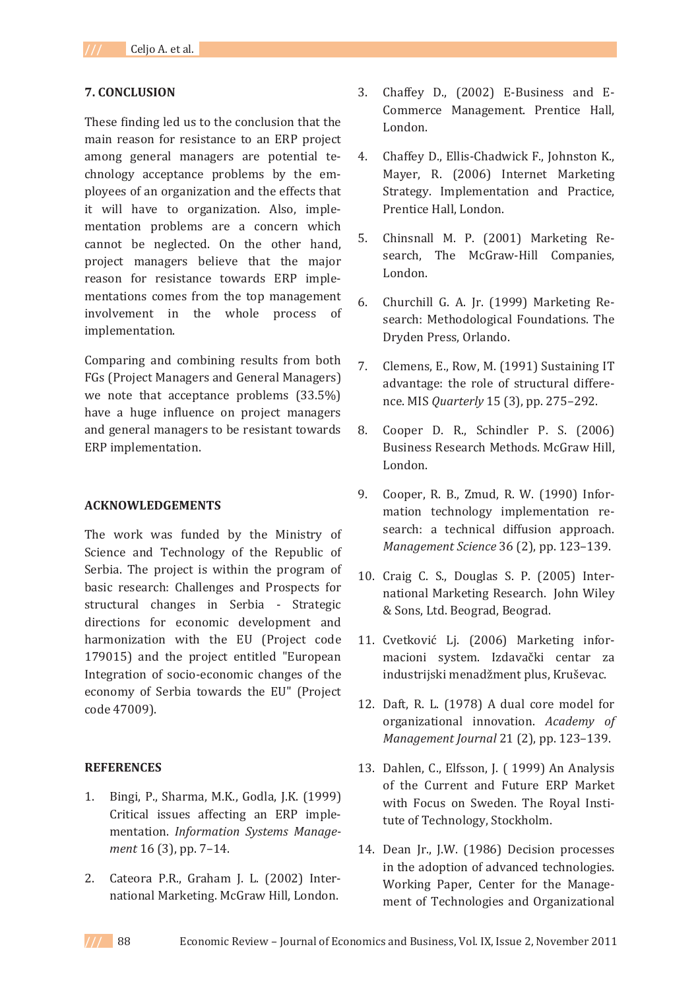## **7. CONCLUSION**

These finding led us to the conclusion that the main reason for resistance to an ERP project among general managers are potential technology acceptance problems by the employees of an organization and the effects that it will have to organization. Also, implementation problems are a concern which cannot be neglected. On the other hand, project managers believe that the major reason for resistance towards ERP implementations comes from the top management involvement in the whole process of implementation.

Comparing and combining results from both FGs (Project Managers and General Managers) we note that acceptance problems (33.5%) have a huge influence on project managers and general managers to be resistant towards ERP implementation.

### **ACKNOWLEDGEMENTS**

The work was funded by the Ministry of Science and Technology of the Republic of Serbia. The project is within the program of basic research: Challenges and Prospects for structural changes in Serbia - Strategic directions for economic development and harmonization with the EU (Project code 179015) and the project entitled "European Integration of socio-economic changes of the economy of Serbia towards the EU" (Project code 47009).

### **REFERENCES**

- 1. Bingi, P., Sharma, M.K., Godla, J.K. (1999) Critical issues affecting an ERP implementation. *Information Systems Management* 16 (3), pp. 7-14.
- 2. Cateora P.R., Graham J. L. (2002) International Marketing. McGraw Hill, London.
- 3. Chaffey D., (2002) E-Business and E-Commerce Management. Prentice Hall, London.
- 4. Chaffey D., Ellis-Chadwick F., Johnston K., Mayer, R. (2006) Internet Marketing Strategy. Implementation and Practice, Prentice Hall, London.
- 5. Chinsnall M. P. (2001) Marketing Research, The McGraw-Hill Companies, London.
- 6. Churchill G. A. Jr. (1999) Marketing Research: Methodological Foundations. The Dryden Press, Orlando.
- 7. Clemens, E., Row, M. (1991) Sustaining IT advantage: the role of structural differe*nce. MIS Quarterly* 15 (3), pp. 275-292.
- **8.** Cooper D. R., Schindler P. S. (2006) Business Research Methods. McGraw Hill, London.
- 9. Cooper, R. B., Zmud, R. W. (1990) Information technology implementation research: a technical diffusion approach. *Management Science* 36 (2), pp. 123-139.
- 10. Craig C. S., Douglas S. P. (2005) International Marketing Research. John Wiley & Sons, Ltd. Beograd, Beograd.
- 11. Cvetković Lj. (2006) Marketing informacioni system. Izdavački centar za industrijski menadžment plus, Kruševac.
- 12. Daft, R. L. (1978) A dual core model for organizational innovation. Academy of *Management Journal* 21 (2), pp. 123-139.
- 13. Dahlen, C., Elfsson, J. (1999) An Analysis of the Current and Future ERP Market with Focus on Sweden. The Royal Institute of Technology, Stockholm.
- 14. Dean Jr., J.W. (1986) Decision processes in the adoption of advanced technologies. Working Paper, Center for the Management of Technologies and Organizational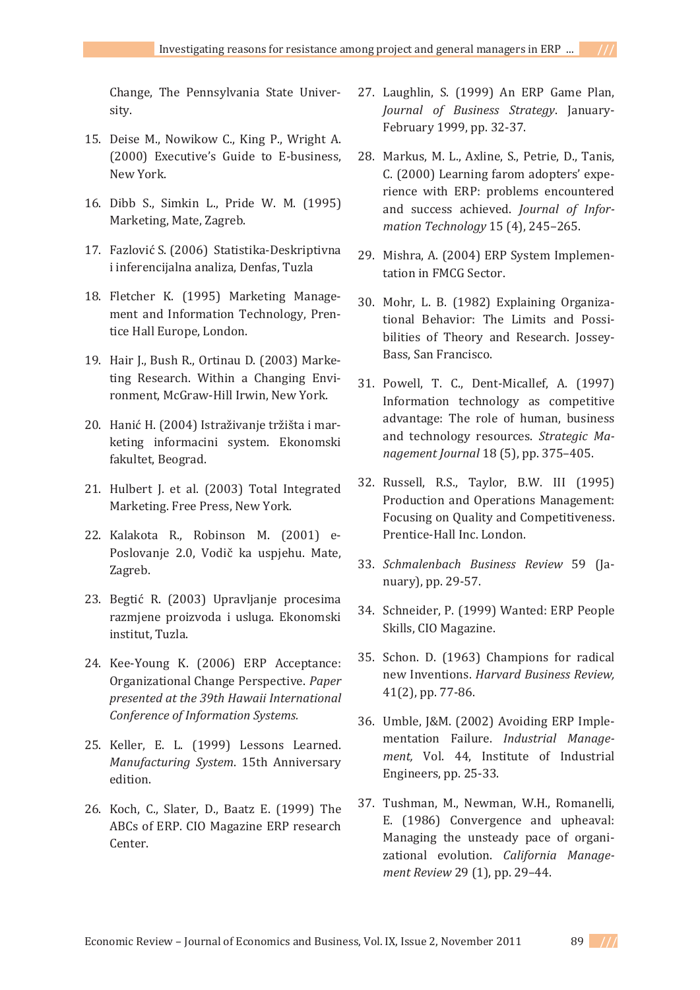Change, The Pennsylvania State University.

- 15. Deise M., Nowikow C., King P., Wright A. (2000) Executive's Guide to E-business, New York.
- 16. Dibb S., Simkin L., Pride W. M. (1995) Marketing, Mate, Zagreb.
- 17. Fazlović S. (2006) Statistika-Deskriptivna i inferencijalna analiza, Denfas, Tuzla
- 18. Fletcher K. (1995) Marketing Management and Information Technology, Prentice Hall Europe, London.
- 19. Hair J., Bush R., Ortinau D. (2003) Marketing Research. Within a Changing Environment, McGraw-Hill Irwin, New York.
- 20. Hanić H. (2004) Istraživanje tržišta i marketing informacini system. Ekonomski fakultet, Beograd.
- 21. Hulbert J. et al. (2003) Total Integrated Marketing. Free Press, New York.
- 22. Kalakota R., Robinson M. (2001) e-Poslovanje 2.0, Vodič ka uspjehu. Mate, Zagreb.
- 23. Begtić R. (2003) Upravljanje procesima razmjene proizvoda i usluga. Ekonomski institut, Tuzla.
- 24. Kee-Young K. (2006) ERP Acceptance: Organizational Change Perspective. Paper *presented at the 39th Hawaii International Conference of Information Systems.*
- 25. Keller, E. L. (1999) Lessons Learned. *Manufacturing System.* 15th Anniversary edition.
- 26. Koch, C., Slater, D., Baatz E. (1999) The ABCs of ERP. CIO Magazine ERP research Center.
- 27. Laughlin, S. (1999) An ERP Game Plan, *Journal of Business Strategy*. January-February 1999, pp. 32-37.
- 28. Markus, M. L., Axline, S., Petrie, D., Tanis, C. (2000) Learning farom adopters' experience with ERP: problems encountered and success achieved. Journal of Infor*mation Technology* 15 (4), 245-265.
- 29. Mishra, A. (2004) ERP System Implementation in FMCG Sector.
- 30. Mohr, L. B. (1982) Explaining Organizational Behavior: The Limits and Possibilities of Theory and Research. Jossey-Bass, San Francisco.
- 31. Powell, T. C., Dent-Micallef, A. (1997) Information technology as competitive advantage: The role of human, business and technology resources. Strategic Ma*nagement Journal* 18 (5), pp. 375-405.
- 32. Russell, R.S., Taylor, B.W. III (1995) Production and Operations Management: Focusing on Quality and Competitiveness. Prentice-Hall Inc. London.
- 33. *Schmalenbach Business Review* 59 (January), pp. 29-57.
- 34. Schneider, P. (1999) Wanted: ERP People Skills, CIO Magazine.
- 35. Schon. D. (1963) Champions for radical Ǥ*Harvard Business Review,*  $41(2)$ , pp. 77-86.
- 36. Umble, J&M. (2002) Avoiding ERP Implementation Failure. *Industrial Management*, Vol. 44, Institute of Industrial Engineers, pp. 25-33.
- 37. Tushman, M., Newman, W.H., Romanelli, E. (1986) Convergence and upheaval: Managing the unsteady pace of organizational evolution. California Manage*ment Review* 29 (1), pp. 29-44.